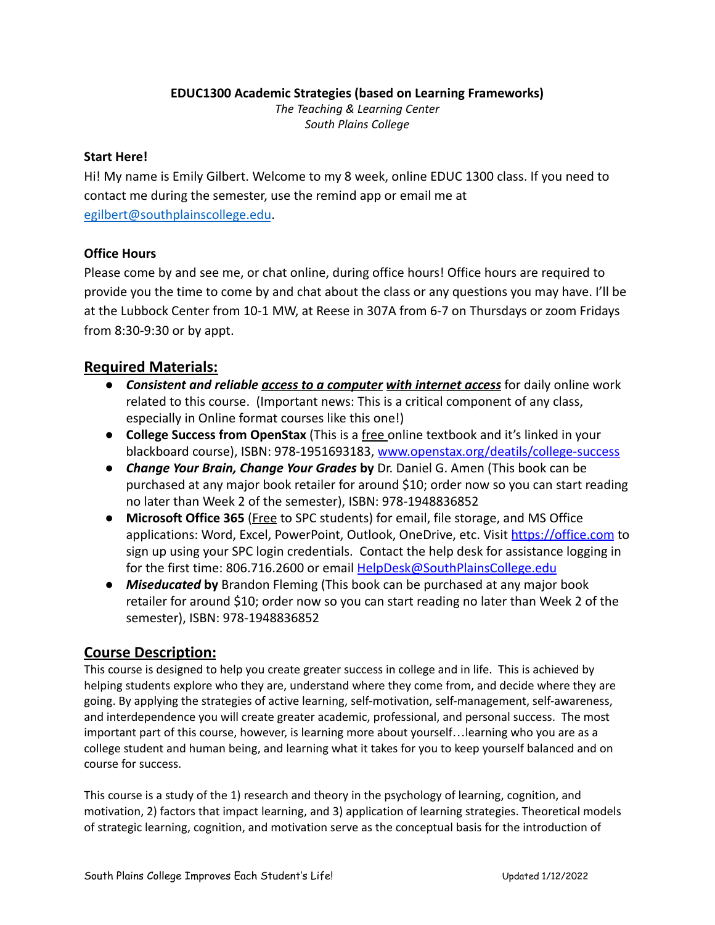#### **EDUC1300 Academic Strategies (based on Learning Frameworks)**

*The Teaching & Learning Center South Plains College*

#### **Start Here!**

Hi! My name is Emily Gilbert. Welcome to my 8 week, online EDUC 1300 class. If you need to contact me during the semester, use the remind app or email me at [egilbert@southplainscollege.edu](mailto:egilbert@southplainscollege.edu).

#### **Office Hours**

Please come by and see me, or chat online, during office hours! Office hours are required to provide you the time to come by and chat about the class or any questions you may have. I'll be at the Lubbock Center from 10-1 MW, at Reese in 307A from 6-7 on Thursdays or zoom Fridays from 8:30-9:30 or by appt.

### **Required Materials:**

- *Consistent and reliable access to a computer with internet access* for daily online work related to this course. (Important news: This is a critical component of any class, especially in Online format courses like this one!)
- **College Success from OpenStax** (This is a free online textbook and it's linked in your blackboard course), ISBN: 978-1951693183, [www.openstax.org/deatils/college-success](http://www.openstax.org/deatils/college-success)
- *Change Your Brain, Change Your Grades* **by** Dr. Daniel G. Amen (This book can be purchased at any major book retailer for around \$10; order now so you can start reading no later than Week 2 of the semester), ISBN: 978-1948836852
- **Microsoft Office 365** (Free to SPC students) for email, file storage, and MS Office applications: Word, Excel, PowerPoint, Outlook, OneDrive, etc. Visit <https://office.com> to sign up using your SPC login credentials. Contact the help desk for assistance logging in for the first time: 806.716.2600 or email [HelpDesk@SouthPlainsCollege.edu](mailto:HelpDesk@SouthPlainsCollege.edu)
- *Miseducated* **by** Brandon Fleming (This book can be purchased at any major book retailer for around \$10; order now so you can start reading no later than Week 2 of the semester), ISBN: 978-1948836852

### **Course Description:**

This course is designed to help you create greater success in college and in life. This is achieved by helping students explore who they are, understand where they come from, and decide where they are going. By applying the strategies of active learning, self-motivation, self-management, self-awareness, and interdependence you will create greater academic, professional, and personal success. The most important part of this course, however, is learning more about yourself…learning who you are as a college student and human being, and learning what it takes for you to keep yourself balanced and on course for success.

This course is a study of the 1) research and theory in the psychology of learning, cognition, and motivation, 2) factors that impact learning, and 3) application of learning strategies. Theoretical models of strategic learning, cognition, and motivation serve as the conceptual basis for the introduction of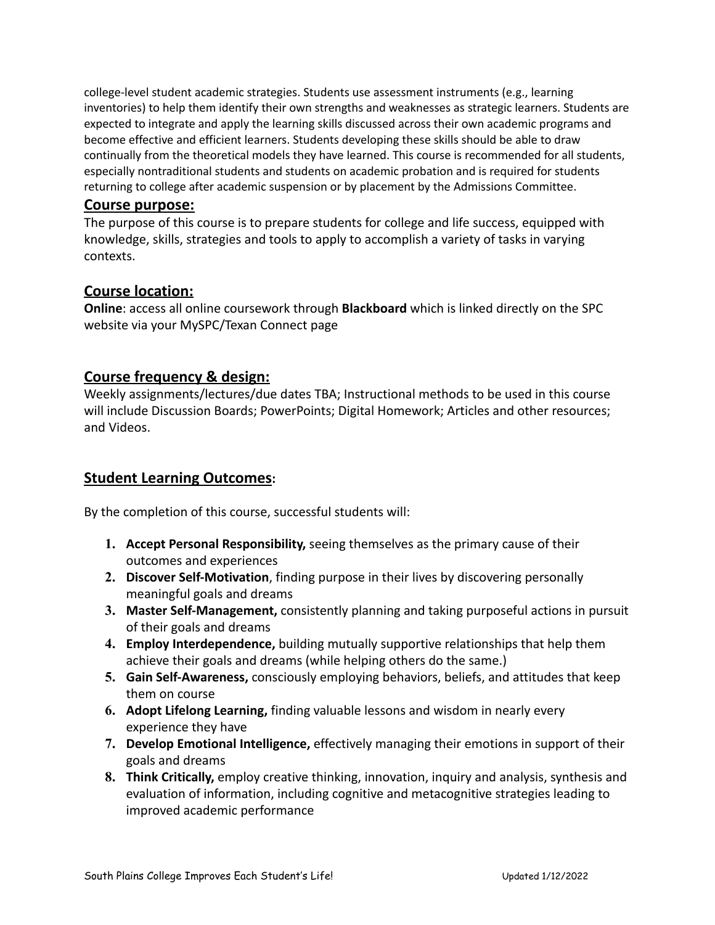college-level student academic strategies. Students use assessment instruments (e.g., learning inventories) to help them identify their own strengths and weaknesses as strategic learners. Students are expected to integrate and apply the learning skills discussed across their own academic programs and become effective and efficient learners. Students developing these skills should be able to draw continually from the theoretical models they have learned. This course is recommended for all students, especially nontraditional students and students on academic probation and is required for students returning to college after academic suspension or by placement by the Admissions Committee.

### **Course purpose:**

The purpose of this course is to prepare students for college and life success, equipped with knowledge, skills, strategies and tools to apply to accomplish a variety of tasks in varying contexts.

### **Course location:**

**Online**: access all online coursework through **Blackboard** which is linked directly on the SPC website via your MySPC/Texan Connect page

## **Course frequency & design:**

Weekly assignments/lectures/due dates TBA; Instructional methods to be used in this course will include Discussion Boards; PowerPoints; Digital Homework; Articles and other resources; and Videos.

## **Student Learning Outcomes:**

By the completion of this course, successful students will:

- **1. Accept Personal Responsibility,** seeing themselves as the primary cause of their outcomes and experiences
- **2. Discover Self-Motivation**, finding purpose in their lives by discovering personally meaningful goals and dreams
- **3. Master Self-Management,** consistently planning and taking purposeful actions in pursuit of their goals and dreams
- **4. Employ Interdependence,** building mutually supportive relationships that help them achieve their goals and dreams (while helping others do the same.)
- **5. Gain Self-Awareness,** consciously employing behaviors, beliefs, and attitudes that keep them on course
- **6. Adopt Lifelong Learning,** finding valuable lessons and wisdom in nearly every experience they have
- **7. Develop Emotional Intelligence,** effectively managing their emotions in support of their goals and dreams
- **8. Think Critically,** employ creative thinking, innovation, inquiry and analysis, synthesis and evaluation of information, including cognitive and metacognitive strategies leading to improved academic performance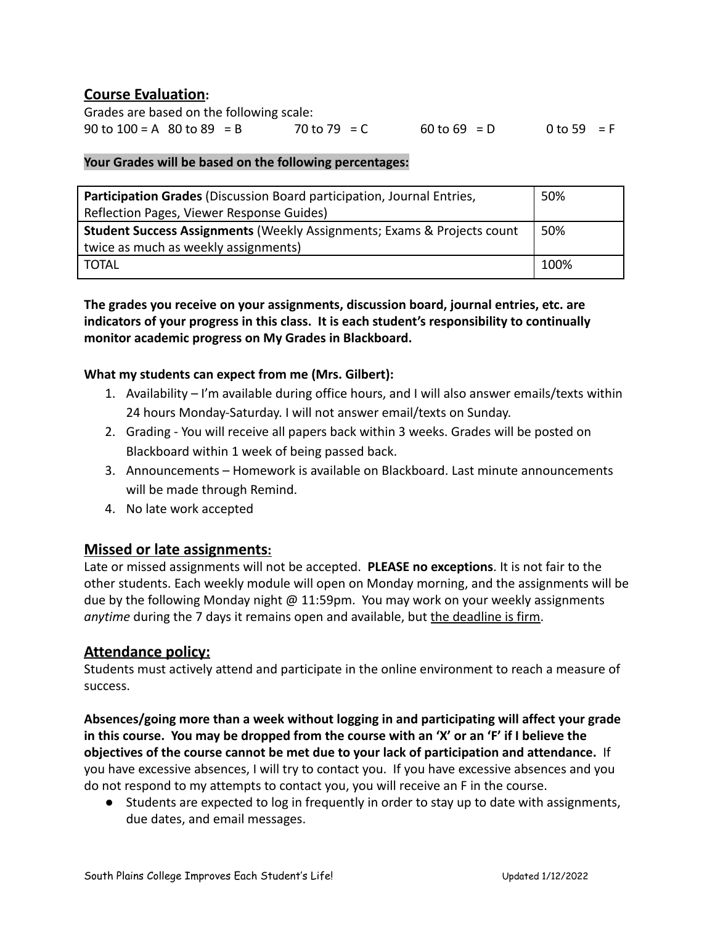## **Course Evaluation:**

Grades are based on the following scale: 90 to 100 = A 80 to 89 = B 70 to 79 = C 60 to 69 = D 0 to 59 = F

#### **Your Grades will be based on the following percentages:**

| Participation Grades (Discussion Board participation, Journal Entries,             | 50%  |  |  |
|------------------------------------------------------------------------------------|------|--|--|
| Reflection Pages, Viewer Response Guides)                                          |      |  |  |
| <b>Student Success Assignments (Weekly Assignments; Exams &amp; Projects count</b> | 50%  |  |  |
| twice as much as weekly assignments)                                               |      |  |  |
| TOTAL                                                                              | 100% |  |  |

**The grades you receive on your assignments, discussion board, journal entries, etc. are indicators of your progress in this class. It is each student's responsibility to continually monitor academic progress on My Grades in Blackboard.**

#### **What my students can expect from me (Mrs. Gilbert):**

- 1. Availability I'm available during office hours, and I will also answer emails/texts within 24 hours Monday-Saturday. I will not answer email/texts on Sunday.
- 2. Grading You will receive all papers back within 3 weeks. Grades will be posted on Blackboard within 1 week of being passed back.
- 3. Announcements Homework is available on Blackboard. Last minute announcements will be made through Remind.
- 4. No late work accepted

### **Missed or late assignments:**

Late or missed assignments will not be accepted. **PLEASE no exceptions**. It is not fair to the other students. Each weekly module will open on Monday morning, and the assignments will be due by the following Monday night  $\omega$  11:59pm. You may work on your weekly assignments *anytime* during the 7 days it remains open and available, but the deadline is firm.

### **Attendance policy:**

Students must actively attend and participate in the online environment to reach a measure of success.

**Absences/going more than a week without logging in and participating will affect your grade in this course. You may be dropped from the course with an 'X' or an 'F' if I believe the objectives of the course cannot be met due to your lack of participation and attendance.** If you have excessive absences, I will try to contact you. If you have excessive absences and you do not respond to my attempts to contact you, you will receive an F in the course.

● Students are expected to log in frequently in order to stay up to date with assignments, due dates, and email messages.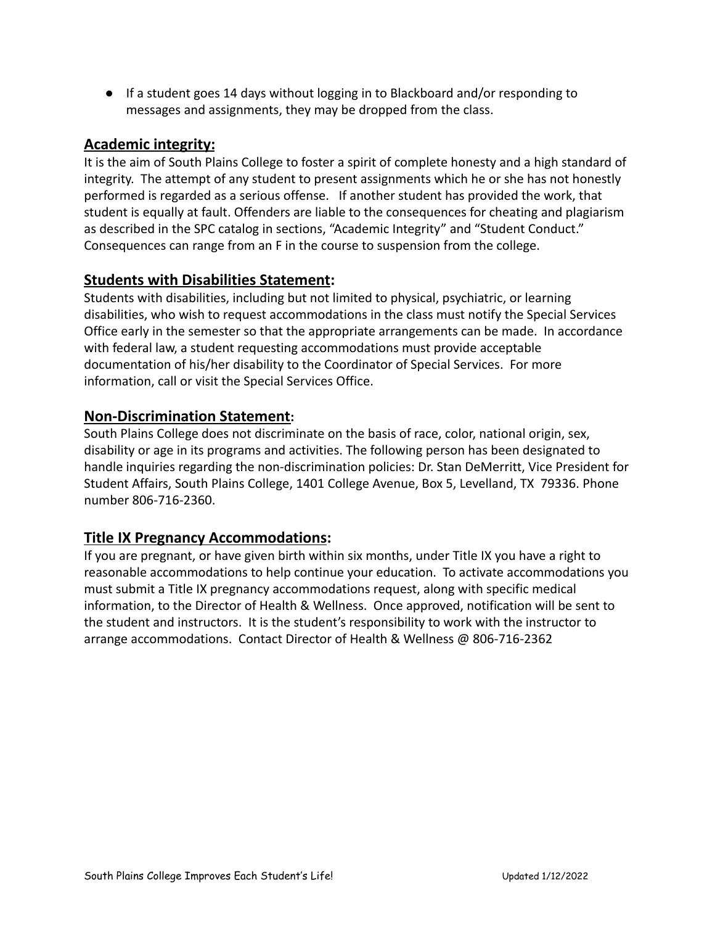● If a student goes 14 days without logging in to Blackboard and/or responding to messages and assignments, they may be dropped from the class.

## **Academic integrity:**

It is the aim of South Plains College to foster a spirit of complete honesty and a high standard of integrity. The attempt of any student to present assignments which he or she has not honestly performed is regarded as a serious offense. If another student has provided the work, that student is equally at fault. Offenders are liable to the consequences for cheating and plagiarism as described in the SPC catalog in sections, "Academic Integrity" and "Student Conduct." Consequences can range from an F in the course to suspension from the college.

## **Students with Disabilities Statement:**

Students with disabilities, including but not limited to physical, psychiatric, or learning disabilities, who wish to request accommodations in the class must notify the Special Services Office early in the semester so that the appropriate arrangements can be made. In accordance with federal law, a student requesting accommodations must provide acceptable documentation of his/her disability to the Coordinator of Special Services. For more information, call or visit the Special Services Office.

## **Non-Discrimination Statement:**

South Plains College does not discriminate on the basis of race, color, national origin, sex, disability or age in its programs and activities. The following person has been designated to handle inquiries regarding the non-discrimination policies: Dr. Stan DeMerritt, Vice President for Student Affairs, South Plains College, 1401 College Avenue, Box 5, Levelland, TX 79336. Phone number 806-716-2360.

## **Title IX Pregnancy Accommodations:**

If you are pregnant, or have given birth within six months, under Title IX you have a right to reasonable accommodations to help continue your education. To activate accommodations you must submit a Title IX pregnancy accommodations request, along with specific medical information, to the Director of Health & Wellness. Once approved, notification will be sent to the student and instructors. It is the student's responsibility to work with the instructor to arrange accommodations. Contact Director of Health & Wellness @ 806-716-2362